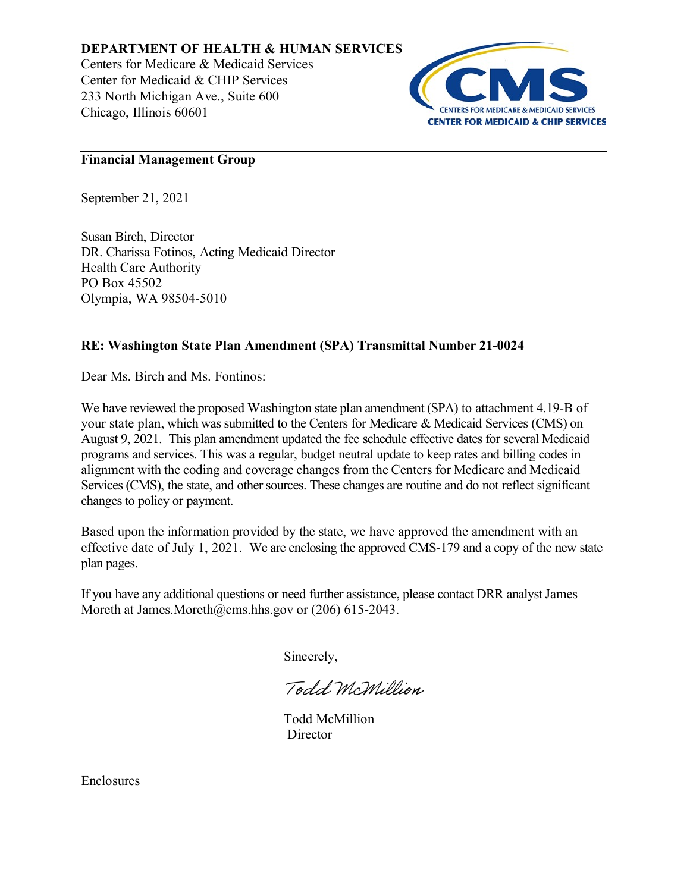**DEPARTMENT OF HEALTH & HUMAN SERVICES**

Centers for Medicare & Medicaid Services Center for Medicaid & CHIP Services 233 North Michigan Ave., Suite 600 Chicago, Illinois 60601



# **Financial Management Group**

September 21, 2021

Susan Birch, Director DR. Charissa Fotinos, Acting Medicaid Director Health Care Authority PO Box 45502 Olympia, WA 98504-5010

# **RE: Washington State Plan Amendment (SPA) Transmittal Number 21-0024**

Dear Ms. Birch and Ms. Fontinos:

We have reviewed the proposed Washington state plan amendment (SPA) to attachment 4.19-B of your state plan, which was submitted to the Centers for Medicare & Medicaid Services (CMS) on August 9, 2021. This plan amendment updated the fee schedule effective dates for several Medicaid programs and services. This was a regular, budget neutral update to keep rates and billing codes in alignment with the coding and coverage changes from the Centers for Medicare and Medicaid Services (CMS), the state, and other sources. These changes are routine and do not reflect significant changes to policy or payment.

Based upon the information provided by the state, we have approved the amendment with an effective date of July 1, 2021. We are enclosing the approved CMS-179 and a copy of the new state plan pages.

If you have any additional questions or need further assistance, please contact DRR analyst James Moreth at James.Moreth@cms.hhs.gov or (206) 615-2043.

Sincerely,

Todd McMillion

Todd McMillion **Director** 

Enclosures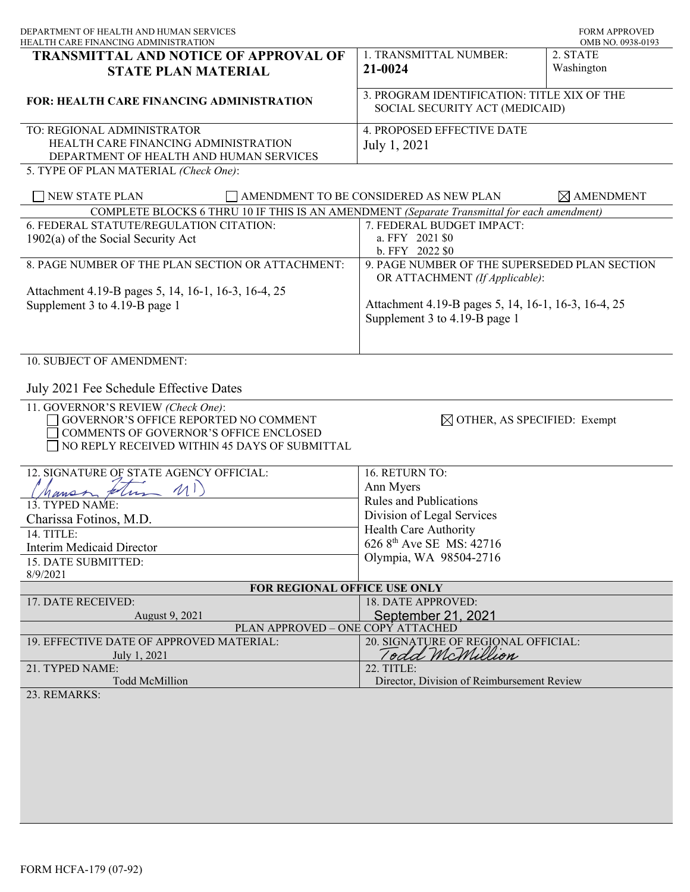| DEPARTMENT OF HEALTH AND HUMAN SERVICES<br>HEALTH CARE FINANCING ADMINISTRATION                                                                                        |                                                                                      | <b>FORM APPROVED</b><br>OMB NO. 0938-0193 |
|------------------------------------------------------------------------------------------------------------------------------------------------------------------------|--------------------------------------------------------------------------------------|-------------------------------------------|
| <b>TRANSMITTAL AND NOTICE OF APPROVAL OF</b><br><b>STATE PLAN MATERIAL</b>                                                                                             | 1. TRANSMITTAL NUMBER:<br>21-0024                                                    | 2. STATE<br>Washington                    |
| <b>FOR: HEALTH CARE FINANCING ADMINISTRATION</b>                                                                                                                       | 3. PROGRAM IDENTIFICATION: TITLE XIX OF THE<br>SOCIAL SECURITY ACT (MEDICAID)        |                                           |
| TO: REGIONAL ADMINISTRATOR<br>HEALTH CARE FINANCING ADMINISTRATION<br>DEPARTMENT OF HEALTH AND HUMAN SERVICES<br>5. TYPE OF PLAN MATERIAL (Check One):                 | 4. PROPOSED EFFECTIVE DATE<br>July 1, 2021                                           |                                           |
| NEW STATE PLAN                                                                                                                                                         | AMENDMENT TO BE CONSIDERED AS NEW PLAN                                               | $\boxtimes$ AMENDMENT                     |
| COMPLETE BLOCKS 6 THRU 10 IF THIS IS AN AMENDMENT (Separate Transmittal for each amendment)                                                                            |                                                                                      |                                           |
| 6. FEDERAL STATUTE/REGULATION CITATION:<br>$1902(a)$ of the Social Security Act                                                                                        | 7. FEDERAL BUDGET IMPACT:<br>a. FFY 2021 \$0<br>b. FFY 2022 \$0                      |                                           |
| 8. PAGE NUMBER OF THE PLAN SECTION OR ATTACHMENT:                                                                                                                      | 9. PAGE NUMBER OF THE SUPERSEDED PLAN SECTION<br>OR ATTACHMENT (If Applicable):      |                                           |
| Attachment 4.19-B pages 5, 14, 16-1, 16-3, 16-4, 25<br>Supplement 3 to 4.19-B page 1                                                                                   | Attachment 4.19-B pages 5, 14, 16-1, 16-3, 16-4, 25<br>Supplement 3 to 4.19-B page 1 |                                           |
| 10. SUBJECT OF AMENDMENT:                                                                                                                                              |                                                                                      |                                           |
| July 2021 Fee Schedule Effective Dates                                                                                                                                 |                                                                                      |                                           |
| 11. GOVERNOR'S REVIEW (Check One):<br>GOVERNOR'S OFFICE REPORTED NO COMMENT<br>COMMENTS OF GOVERNOR'S OFFICE ENCLOSED<br>NO REPLY RECEIVED WITHIN 45 DAYS OF SUBMITTAL | $\boxtimes$ OTHER, AS SPECIFIED: Exempt                                              |                                           |
| 12. SIGNATURE OF STATE AGENCY OFFICIAL:                                                                                                                                | 16. RETURN TO:                                                                       |                                           |
| 41<br>folis                                                                                                                                                            | Ann Myers                                                                            |                                           |
| mon<br>13. TYPED NAME:                                                                                                                                                 | <b>Rules and Publications</b>                                                        |                                           |
| Charissa Fotinos, M.D.                                                                                                                                                 | Division of Legal Services                                                           |                                           |
| 14. TITLE:                                                                                                                                                             | Health Care Authority                                                                |                                           |
| <b>Interim Medicaid Director</b>                                                                                                                                       | 626 8 <sup>th</sup> Ave SE MS: 42716                                                 |                                           |
| 15. DATE SUBMITTED:                                                                                                                                                    | Olympia, WA 98504-2716                                                               |                                           |
| 8/9/2021                                                                                                                                                               |                                                                                      |                                           |
| FOR REGIONAL OFFICE USE ONLY                                                                                                                                           |                                                                                      |                                           |
| 17. DATE RECEIVED:                                                                                                                                                     | 18. DATE APPROVED:                                                                   |                                           |
| August 9, 2021                                                                                                                                                         | September 21, 2021                                                                   |                                           |
| PLAN APPROVED – ONE COPY ATTACHED                                                                                                                                      |                                                                                      |                                           |
| 19. EFFECTIVE DATE OF APPROVED MATERIAL:<br>July 1, 2021                                                                                                               | 20. SIGNATURE OF REGIONAL OFFICIAL:<br>Todd McMillion                                |                                           |
| 21. TYPED NAME:<br><b>Todd McMillion</b>                                                                                                                               | 22. TITLE:<br>Director, Division of Reimbursement Review                             |                                           |
| 23. REMARKS:                                                                                                                                                           |                                                                                      |                                           |
|                                                                                                                                                                        |                                                                                      |                                           |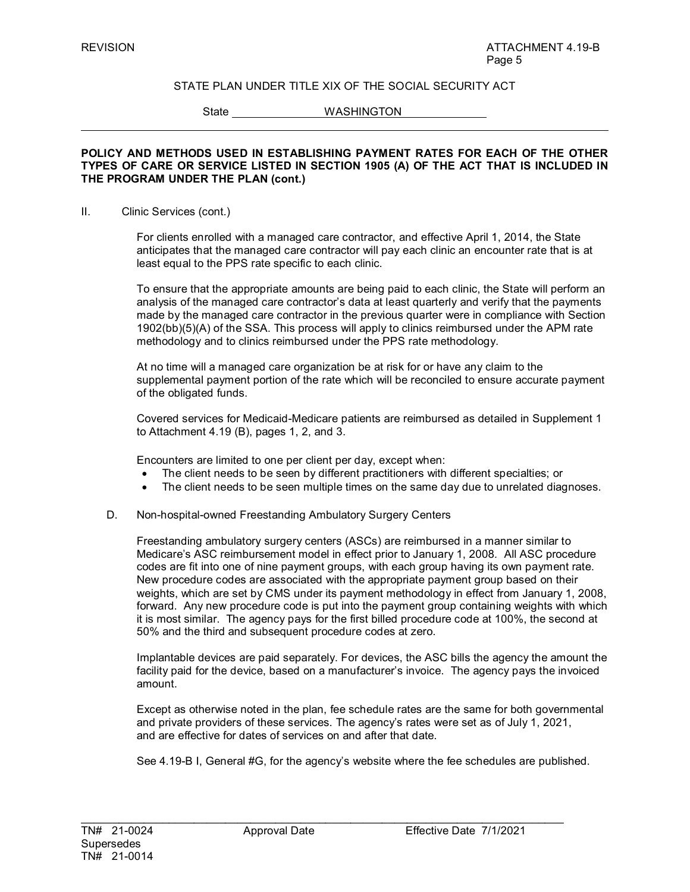State WASHINGTON

#### **POLICY AND METHODS USED IN ESTABLISHING PAYMENT RATES FOR EACH OF THE OTHER TYPES OF CARE OR SERVICE LISTED IN SECTION 1905 (A) OF THE ACT THAT IS INCLUDED IN THE PROGRAM UNDER THE PLAN (cont.)**

#### II. Clinic Services (cont.)

For clients enrolled with a managed care contractor, and effective April 1, 2014, the State anticipates that the managed care contractor will pay each clinic an encounter rate that is at least equal to the PPS rate specific to each clinic.

To ensure that the appropriate amounts are being paid to each clinic, the State will perform an analysis of the managed care contractor's data at least quarterly and verify that the payments made by the managed care contractor in the previous quarter were in compliance with Section 1902(bb)(5)(A) of the SSA. This process will apply to clinics reimbursed under the APM rate methodology and to clinics reimbursed under the PPS rate methodology.

At no time will a managed care organization be at risk for or have any claim to the supplemental payment portion of the rate which will be reconciled to ensure accurate payment of the obligated funds.

Covered services for Medicaid-Medicare patients are reimbursed as detailed in Supplement 1 to Attachment 4.19 (B), pages 1, 2, and 3.

Encounters are limited to one per client per day, except when:

- The client needs to be seen by different practitioners with different specialties; or
- The client needs to be seen multiple times on the same day due to unrelated diagnoses.
- D. Non-hospital-owned Freestanding Ambulatory Surgery Centers

Freestanding ambulatory surgery centers (ASCs) are reimbursed in a manner similar to Medicare's ASC reimbursement model in effect prior to January 1, 2008*.* All ASC procedure codes are fit into one of nine payment groups, with each group having its own payment rate. New procedure codes are associated with the appropriate payment group based on their weights, which are set by CMS under its payment methodology in effect from January 1, 2008, forward. Any new procedure code is put into the payment group containing weights with which it is most similar. The agency pays for the first billed procedure code at 100%, the second at 50% and the third and subsequent procedure codes at zero.

Implantable devices are paid separately. For devices, the ASC bills the agency the amount the facility paid for the device, based on a manufacturer's invoice. The agency pays the invoiced amount.

Except as otherwise noted in the plan, fee schedule rates are the same for both governmental and private providers of these services. The agency's rates were set as of July 1, 2021, and are effective for dates of services on and after that date.

See 4.19-B I, General #G, for the agency's website where the fee schedules are published.

\_\_\_\_\_\_\_\_\_\_\_\_\_\_\_\_\_\_\_\_\_\_\_\_\_\_\_\_\_\_\_\_\_\_\_\_\_\_\_\_\_\_\_\_\_\_\_\_\_\_\_\_\_\_\_\_\_\_\_\_\_\_\_\_\_\_\_\_\_\_\_\_\_\_\_\_\_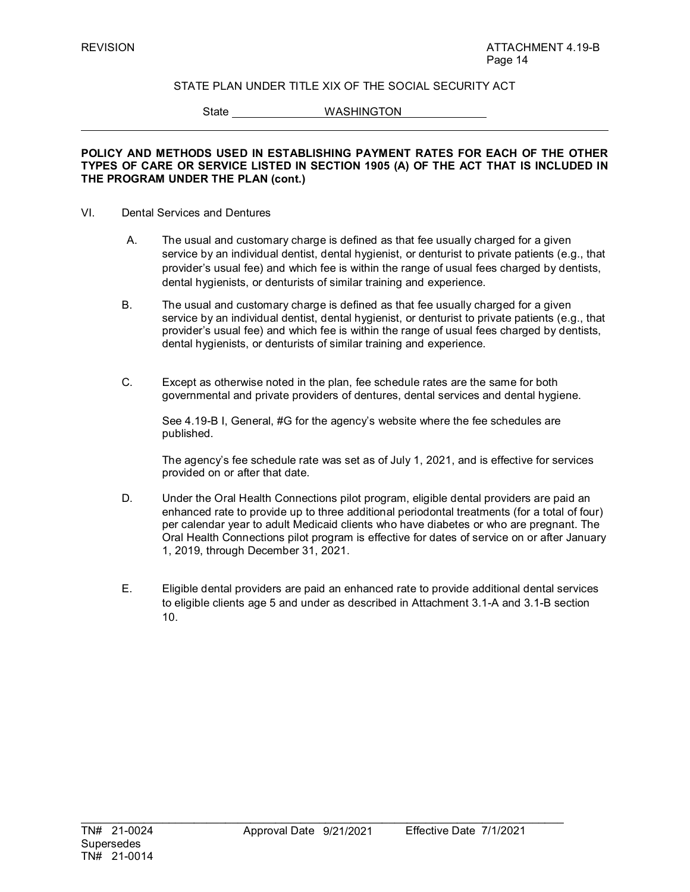State WASHINGTON

#### **POLICY AND METHODS USED IN ESTABLISHING PAYMENT RATES FOR EACH OF THE OTHER TYPES OF CARE OR SERVICE LISTED IN SECTION 1905 (A) OF THE ACT THAT IS INCLUDED IN THE PROGRAM UNDER THE PLAN (cont.)**

#### VI. Dental Services and Dentures

- A. The usual and customary charge is defined as that fee usually charged for a given service by an individual dentist, dental hygienist, or denturist to private patients (e.g., that provider's usual fee) and which fee is within the range of usual fees charged by dentists, dental hygienists, or denturists of similar training and experience.
- B. The usual and customary charge is defined as that fee usually charged for a given service by an individual dentist, dental hygienist, or denturist to private patients (e.g., that provider's usual fee) and which fee is within the range of usual fees charged by dentists, dental hygienists, or denturists of similar training and experience.
- C. Except as otherwise noted in the plan, fee schedule rates are the same for both governmental and private providers of dentures, dental services and dental hygiene.

See 4.19-B I, General, #G for the agency's website where the fee schedules are published.

The agency's fee schedule rate was set as of July 1, 2021, and is effective for services provided on or after that date.

- D. Under the Oral Health Connections pilot program, eligible dental providers are paid an enhanced rate to provide up to three additional periodontal treatments (for a total of four) per calendar year to adult Medicaid clients who have diabetes or who are pregnant. The Oral Health Connections pilot program is effective for dates of service on or after January 1, 2019, through December 31, 2021.
- E. Eligible dental providers are paid an enhanced rate to provide additional dental services to eligible clients age 5 and under as described in Attachment 3.1-A and 3.1-B section 10.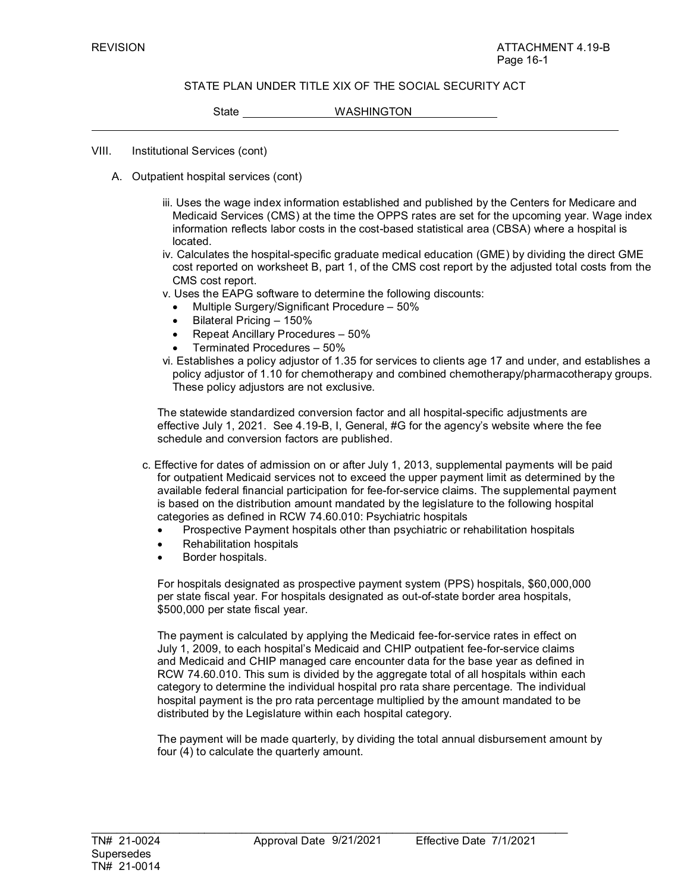State WASHINGTON

VIII. Institutional Services (cont)

- A. Outpatient hospital services (cont)
	- iii. Uses the wage index information established and published by the Centers for Medicare and Medicaid Services (CMS) at the time the OPPS rates are set for the upcoming year. Wage index information reflects labor costs in the cost-based statistical area (CBSA) where a hospital is located.
	- iv. Calculates the hospital-specific graduate medical education (GME) by dividing the direct GME cost reported on worksheet B, part 1, of the CMS cost report by the adjusted total costs from the CMS cost report.
	- v. Uses the EAPG software to determine the following discounts:
		- Multiple Surgery/Significant Procedure 50%
		- Bilateral Pricing 150%
		- Repeat Ancillary Procedures 50%
		- Terminated Procedures 50%
	- vi. Establishes a policy adjustor of 1.35 for services to clients age 17 and under, and establishes a policy adjustor of 1.10 for chemotherapy and combined chemotherapy/pharmacotherapy groups. These policy adjustors are not exclusive.

The statewide standardized conversion factor and all hospital-specific adjustments are effective July 1, 2021. See 4.19-B, I, General, #G for the agency's website where the fee schedule and conversion factors are published.

- c. Effective for dates of admission on or after July 1, 2013, supplemental payments will be paid for outpatient Medicaid services not to exceed the upper payment limit as determined by the available federal financial participation for fee-for-service claims. The supplemental payment is based on the distribution amount mandated by the legislature to the following hospital categories as defined in RCW 74.60.010: Psychiatric hospitals
	- Prospective Payment hospitals other than psychiatric or rehabilitation hospitals
	- Rehabilitation hospitals
	- Border hospitals.

For hospitals designated as prospective payment system (PPS) hospitals, \$60,000,000 per state fiscal year. For hospitals designated as out-of-state border area hospitals, \$500,000 per state fiscal year.

The payment is calculated by applying the Medicaid fee-for-service rates in effect on July 1, 2009, to each hospital's Medicaid and CHIP outpatient fee-for-service claims and Medicaid and CHIP managed care encounter data for the base year as defined in RCW 74.60.010. This sum is divided by the aggregate total of all hospitals within each category to determine the individual hospital pro rata share percentage. The individual hospital payment is the pro rata percentage multiplied by the amount mandated to be distributed by the Legislature within each hospital category.

The payment will be made quarterly, by dividing the total annual disbursement amount by four (4) to calculate the quarterly amount.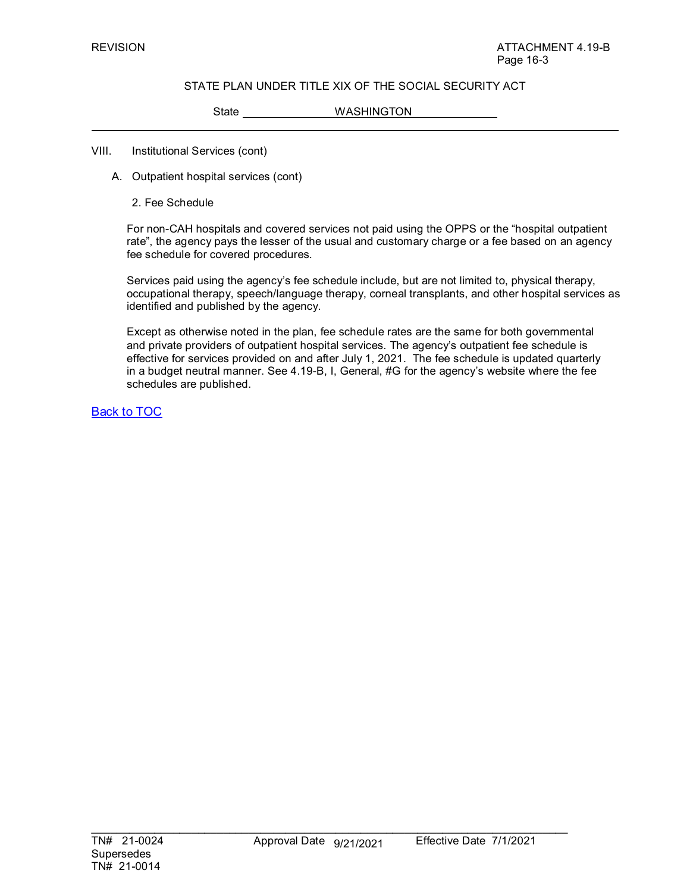State WASHINGTON

#### VIII. Institutional Services (cont)

- A. Outpatient hospital services (cont)
	- 2. Fee Schedule

For non-CAH hospitals and covered services not paid using the OPPS or the "hospital outpatient rate", the agency pays the lesser of the usual and customary charge or a fee based on an agency fee schedule for covered procedures*.* 

Services paid using the agency's fee schedule include, but are not limited to, physical therapy, occupational therapy, speech/language therapy, corneal transplants, and other hospital services as identified and published by the agency.

Except as otherwise noted in the plan, fee schedule rates are the same for both governmental and private providers of outpatient hospital services. The agency's outpatient fee schedule is effective for services provided on and after July 1, 2021. The fee schedule is updated quarterly in a budget neutral manner. See 4.19-B, I, General, #G for the agency's website where the fee schedules are published.

Back to TOC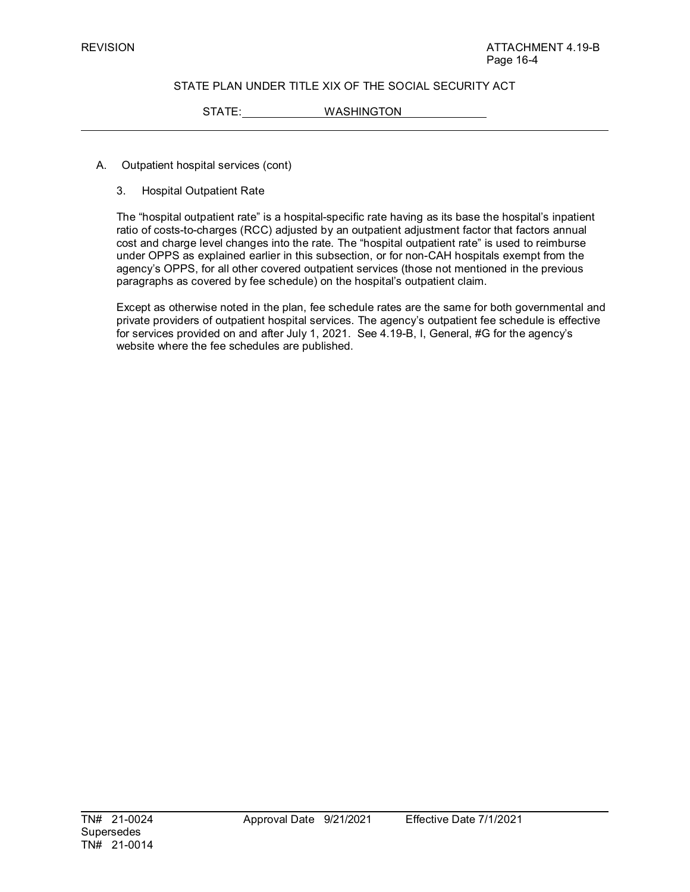STATE: WASHINGTON

- A. Outpatient hospital services (cont)
	- 3. Hospital Outpatient Rate

The "hospital outpatient rate" is a hospital-specific rate having as its base the hospital's inpatient ratio of costs-to-charges (RCC) adjusted by an outpatient adjustment factor that factors annual cost and charge level changes into the rate. The "hospital outpatient rate" is used to reimburse under OPPS as explained earlier in this subsection, or for non-CAH hospitals exempt from the agency's OPPS, for all other covered outpatient services (those not mentioned in the previous paragraphs as covered by fee schedule) on the hospital's outpatient claim.

Except as otherwise noted in the plan, fee schedule rates are the same for both governmental and private providers of outpatient hospital services. The agency's outpatient fee schedule is effective for services provided on and after July 1, 2021. See 4.19-B, I, General, #G for the agency's website where the fee schedules are published.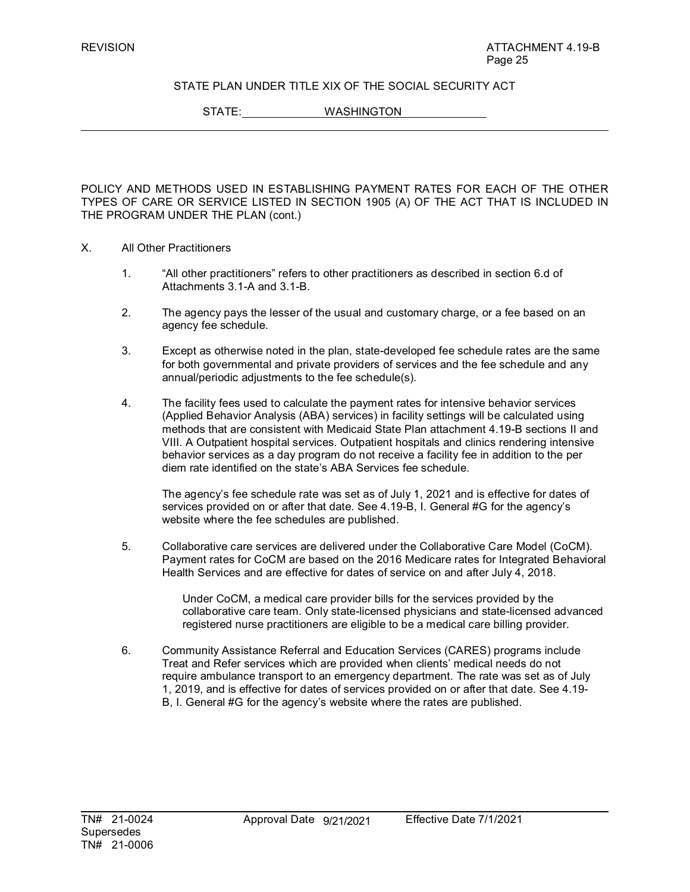STATE: WASHINGTON

POLICY AND METHODS USED IN ESTABLISHING PAYMENT RATES FOR EACH OF THE OTHER TYPES OF CARE OR SERVICE LISTED IN SECTION 1905 (A) OF THE ACT THAT IS INCLUDED IN THE PROGRAM UNDER THE PLAN (cont.)

- X. All Other Practitioners
	- 1. "All other practitioners" refers to other practitioners as described in section 6.d of Attachments 3.1-A and 3.1-B.
	- 2. The agency pays the lesser of the usual and customary charge, or a fee based on an agency fee schedule.
	- 3. Except as otherwise noted in the plan, state-developed fee schedule rates are the same for both governmental and private providers of services and the fee schedule and any annual/periodic adjustments to the fee schedule(s).
	- 4. The facility fees used to calculate the payment rates for intensive behavior services (Applied Behavior Analysis (ABA) services) in facility settings will be calculated using methods that are consistent with Medicaid State Plan attachment 4.19-B sections II and VIII. A Outpatient hospital services. Outpatient hospitals and clinics rendering intensive behavior services as a day program do not receive a facility fee in addition to the per diem rate identified on the state's ABA Services fee schedule.

The agency's fee schedule rate was set as of July 1, 2021 and is effective for dates of services provided on or after that date. See 4.19-B, I. General #G for the agency's website where the fee schedules are published.

5. Collaborative care services are delivered under the Collaborative Care Model (CoCM). Payment rates for CoCM are based on the 2016 Medicare rates for Integrated Behavioral Health Services and are effective for dates of service on and after July 4, 2018.

> Under CoCM, a medical care provider bills for the services provided by the collaborative care team. Only state-licensed physicians and state-licensed advanced registered nurse practitioners are eligible to be a medical care billing provider.

6. Community Assistance Referral and Education Services (CARES) programs include Treat and Refer services which are provided when clients' medical needs do not require ambulance transport to an emergency department. The rate was set as of July 1, 2019, and is effective for dates of services provided on or after that date. See 4.19- B, I. General #G for the agency's website where the rates are published.